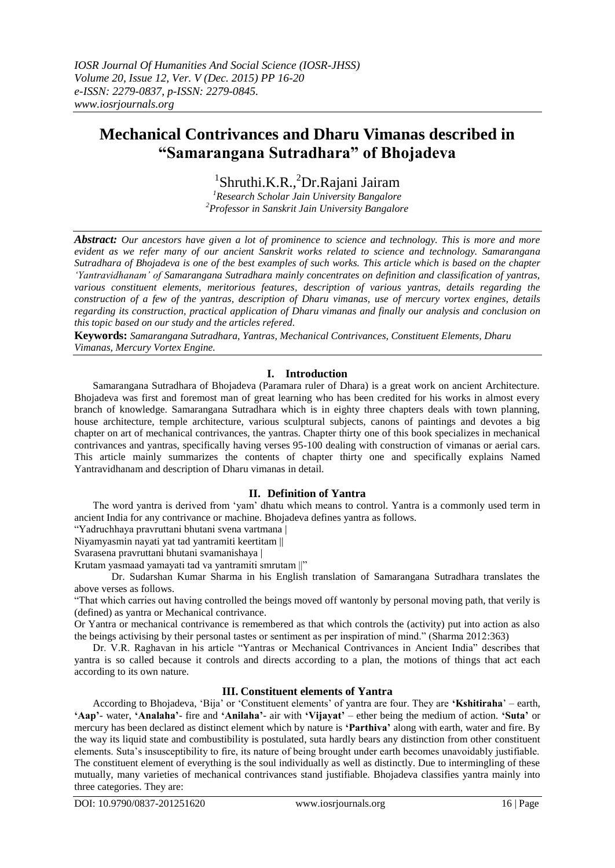# **Mechanical Contrivances and Dharu Vimanas described in "Samarangana Sutradhara" of Bhojadeva**

1 Shruthi.K.R., <sup>2</sup>Dr.Rajani Jairam *<sup>1</sup>Research Scholar Jain University Bangalore*

*<sup>2</sup>Professor in Sanskrit Jain University Bangalore*

*Abstract: Our ancestors have given a lot of prominence to science and technology. This is more and more evident as we refer many of our ancient Sanskrit works related to science and technology. Samarangana Sutradhara of Bhojadeva is one of the best examples of such works. This article which is based on the chapter "Yantravidhanam" of Samarangana Sutradhara mainly concentrates on definition and classification of yantras, various constituent elements, meritorious features, description of various yantras, details regarding the construction of a few of the yantras, description of Dharu vimanas, use of mercury vortex engines, details regarding its construction, practical application of Dharu vimanas and finally our analysis and conclusion on this topic based on our study and the articles refered.*

**Keywords:** *Samarangana Sutradhara, Yantras, Mechanical Contrivances, Constituent Elements, Dharu Vimanas, Mercury Vortex Engine.*

# **I. Introduction**

Samarangana Sutradhara of Bhojadeva (Paramara ruler of Dhara) is a great work on ancient Architecture. Bhojadeva was first and foremost man of great learning who has been credited for his works in almost every branch of knowledge. Samarangana Sutradhara which is in eighty three chapters deals with town planning, house architecture, temple architecture, various sculptural subjects, canons of paintings and devotes a big chapter on art of mechanical contrivances, the yantras. Chapter thirty one of this book specializes in mechanical contrivances and yantras, specifically having verses 95-100 dealing with construction of vimanas or aerial cars. This article mainly summarizes the contents of chapter thirty one and specifically explains Named Yantravidhanam and description of Dharu vimanas in detail.

# **II. Definition of Yantra**

The word yantra is derived from "yam" dhatu which means to control. Yantra is a commonly used term in ancient India for any contrivance or machine. Bhojadeva defines yantra as follows.

"Yadruchhaya pravruttani bhutani svena vartmana |

Niyamyasmin nayati yat tad yantramiti keertitam ||

Svarasena pravruttani bhutani svamanishaya |

Krutam yasmaad yamayati tad va yantramiti smrutam ||"

Dr. Sudarshan Kumar Sharma in his English translation of Samarangana Sutradhara translates the above verses as follows.

"That which carries out having controlled the beings moved off wantonly by personal moving path, that verily is (defined) as yantra or Mechanical contrivance.

Or Yantra or mechanical contrivance is remembered as that which controls the (activity) put into action as also the beings activising by their personal tastes or sentiment as per inspiration of mind." (Sharma 2012:363)

Dr. V.R. Raghavan in his article "Yantras or Mechanical Contrivances in Ancient India" describes that yantra is so called because it controls and directs according to a plan, the motions of things that act each according to its own nature.

# **III. Constituent elements of Yantra**

According to Bhojadeva, "Bija" or "Constituent elements" of yantra are four. They are **"Kshitiraha**" – earth, **"Aap"**- water, **"Analaha"**- fire and **"Anilaha"**- air with **"Vijayat"** – ether being the medium of action. **"Suta"** or mercury has been declared as distinct element which by nature is **"Parthiva"** along with earth, water and fire. By the way its liquid state and combustibility is postulated, suta hardly bears any distinction from other constituent elements. Suta"s insusceptibility to fire, its nature of being brought under earth becomes unavoidably justifiable. The constituent element of everything is the soul individually as well as distinctly. Due to intermingling of these mutually, many varieties of mechanical contrivances stand justifiable. Bhojadeva classifies yantra mainly into three categories. They are: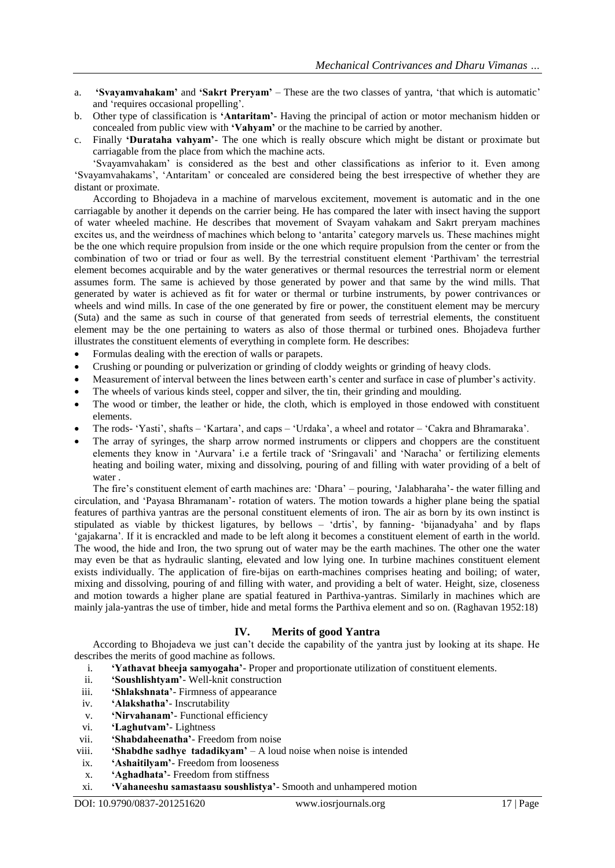- a. **"Svayamvahakam"** and **"Sakrt Preryam"** These are the two classes of yantra, "that which is automatic" and "requires occasional propelling".
- b. Other type of classification is **"Antaritam"** Having the principal of action or motor mechanism hidden or concealed from public view with **"Vahyam"** or the machine to be carried by another.
- c. Finally **"Durataha vahyam"** The one which is really obscure which might be distant or proximate but carriagable from the place from which the machine acts.

"Svayamvahakam" is considered as the best and other classifications as inferior to it. Even among 'Svayamvahakams', 'Antaritam' or concealed are considered being the best irrespective of whether they are distant or proximate.

According to Bhojadeva in a machine of marvelous excitement, movement is automatic and in the one carriagable by another it depends on the carrier being. He has compared the later with insect having the support of water wheeled machine. He describes that movement of Svayam vahakam and Sakrt preryam machines excites us, and the weirdness of machines which belong to "antarita" category marvels us. These machines might be the one which require propulsion from inside or the one which require propulsion from the center or from the combination of two or triad or four as well. By the terrestrial constituent element "Parthivam" the terrestrial element becomes acquirable and by the water generatives or thermal resources the terrestrial norm or element assumes form. The same is achieved by those generated by power and that same by the wind mills. That generated by water is achieved as fit for water or thermal or turbine instruments, by power contrivances or wheels and wind mills. In case of the one generated by fire or power, the constituent element may be mercury (Suta) and the same as such in course of that generated from seeds of terrestrial elements, the constituent element may be the one pertaining to waters as also of those thermal or turbined ones. Bhojadeva further illustrates the constituent elements of everything in complete form. He describes:

- Formulas dealing with the erection of walls or parapets.
- Crushing or pounding or pulverization or grinding of cloddy weights or grinding of heavy clods.
- Measurement of interval between the lines between earth"s center and surface in case of plumber"s activity.
- The wheels of various kinds steel, copper and silver, the tin, their grinding and moulding.
- The wood or timber, the leather or hide, the cloth, which is employed in those endowed with constituent elements.
- The rods- 'Yasti', shafts 'Kartara', and caps 'Urdaka', a wheel and rotator 'Cakra and Bhramaraka'.
- The array of syringes, the sharp arrow normed instruments or clippers and choppers are the constituent elements they know in "Aurvara" i.e a fertile track of "Sringavali" and "Naracha" or fertilizing elements heating and boiling water, mixing and dissolving, pouring of and filling with water providing of a belt of water .

The fire"s constituent element of earth machines are: "Dhara" – pouring, "Jalabharaha"- the water filling and circulation, and "Payasa Bhramanam"- rotation of waters. The motion towards a higher plane being the spatial features of parthiva yantras are the personal constituent elements of iron. The air as born by its own instinct is stipulated as viable by thickest ligatures, by bellows – 'drtis', by fanning- 'bijanadyaha' and by flaps 'gajakarna'. If it is encrackled and made to be left along it becomes a constituent element of earth in the world. The wood, the hide and Iron, the two sprung out of water may be the earth machines. The other one the water may even be that as hydraulic slanting, elevated and low lying one. In turbine machines constituent element exists individually. The application of fire-bijas on earth-machines comprises heating and boiling; of water, mixing and dissolving, pouring of and filling with water, and providing a belt of water. Height, size, closeness and motion towards a higher plane are spatial featured in Parthiva-yantras. Similarly in machines which are mainly jala-yantras the use of timber, hide and metal forms the Parthiva element and so on. (Raghavan 1952:18)

# **IV. Merits of good Yantra**

According to Bhojadeva we just can"t decide the capability of the yantra just by looking at its shape. He describes the merits of good machine as follows.

- i. **"Yathavat bheeja samyogaha"** Proper and proportionate utilization of constituent elements.
- ii. **"Soushlishtyam"** Well-knit construction
- iii. **"Shlakshnata"** Firmness of appearance
- iv. **"Alakshatha"** Inscrutability
- v. **"Nirvahanam"** Functional efficiency
- vi. **"Laghutvam"** Lightness
- vii. **"Shabdaheenatha"** Freedom from noise
- viii. **"Shabdhe sadhye tadadikyam"**  A loud noise when noise is intended
- ix. **"Ashaitilyam"** Freedom from looseness
- x. **"Aghadhata"** Freedom from stiffness
- xi. **"Vahaneeshu samastaasu soushlistya"** Smooth and unhampered motion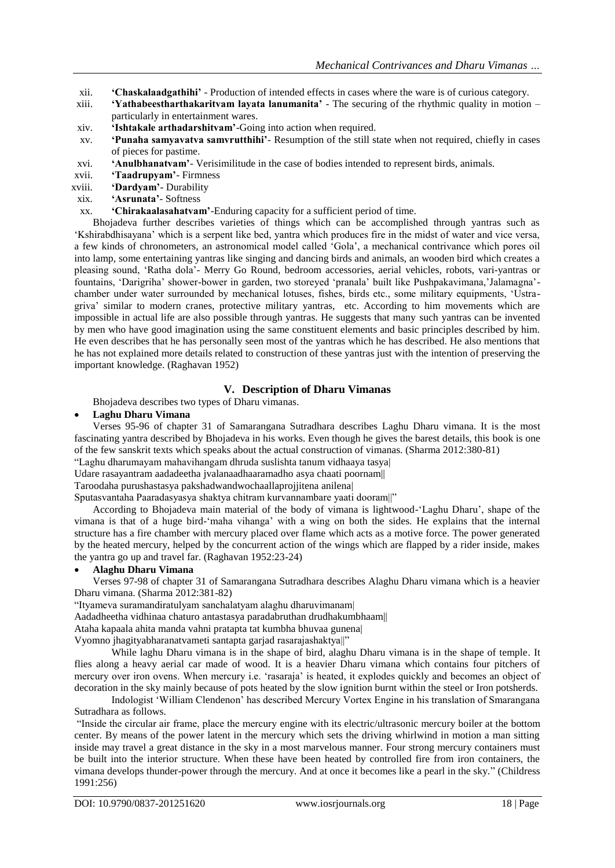- xii. **"Chaskalaadgathihi"** Production of intended effects in cases where the ware is of curious category.
- xiii. **"Yathabeestharthakaritvam layata lanumanita"** The securing of the rhythmic quality in motion particularly in entertainment wares.
- xiv. **"Ishtakale arthadarshitvam"**-Going into action when required.
- xv. **"Punaha samyavatva samvrutthihi"** Resumption of the still state when not required, chiefly in cases of pieces for pastime.
- xvi. **"Anulbhanatvam"** Verisimilitude in the case of bodies intended to represent birds, animals.
- xvii. **"Taadrupyam"** Firmness
- xviii. **"Dardyam"** Durability
- xix. **"Asrunata"** Softness
- xx. **"Chirakaalasahatvam"**-Enduring capacity for a sufficient period of time.

Bhojadeva further describes varieties of things which can be accomplished through yantras such as "Kshirabdhisayana" which is a serpent like bed, yantra which produces fire in the midst of water and vice versa, a few kinds of chronometers, an astronomical model called "Gola", a mechanical contrivance which pores oil into lamp, some entertaining yantras like singing and dancing birds and animals, an wooden bird which creates a pleasing sound, "Ratha dola"- Merry Go Round, bedroom accessories, aerial vehicles, robots, vari-yantras or fountains, "Darigriha" shower-bower in garden, two storeyed "pranala" built like Pushpakavimana,"Jalamagna" chamber under water surrounded by mechanical lotuses, fishes, birds etc., some military equipments, "Ustragriva" similar to modern cranes, protective military yantras, etc. According to him movements which are impossible in actual life are also possible through yantras. He suggests that many such yantras can be invented by men who have good imagination using the same constituent elements and basic principles described by him. He even describes that he has personally seen most of the yantras which he has described. He also mentions that he has not explained more details related to construction of these yantras just with the intention of preserving the important knowledge. (Raghavan 1952)

# **V. Description of Dharu Vimanas**

Bhojadeva describes two types of Dharu vimanas.

### **Laghu Dharu Vimana**

Verses 95-96 of chapter 31 of Samarangana Sutradhara describes Laghu Dharu vimana. It is the most fascinating yantra described by Bhojadeva in his works. Even though he gives the barest details, this book is one of the few sanskrit texts which speaks about the actual construction of vimanas. (Sharma 2012:380-81)

"Laghu dharumayam mahavihangam dhruda suslishta tanum vidhaaya tasya| Udare rasayantram aadadeetha jvalanaadhaaramadho asya chaati poornam||

Taroodaha purushastasya pakshadwandwochaallaprojjitena anilena|

Sputasvantaha Paaradasyasya shaktya chitram kurvannambare yaati dooram||"

According to Bhojadeva main material of the body of vimana is lightwood-"Laghu Dharu", shape of the vimana is that of a huge bird-"maha vihanga" with a wing on both the sides. He explains that the internal structure has a fire chamber with mercury placed over flame which acts as a motive force. The power generated by the heated mercury, helped by the concurrent action of the wings which are flapped by a rider inside, makes the yantra go up and travel far. (Raghavan 1952:23-24)

#### **Alaghu Dharu Vimana**

Verses 97-98 of chapter 31 of Samarangana Sutradhara describes Alaghu Dharu vimana which is a heavier Dharu vimana. (Sharma 2012:381-82)

"Ityameva suramandiratulyam sanchalatyam alaghu dharuvimanam|

Aadadheetha vidhinaa chaturo antastasya paradabruthan drudhakumbhaam||

Ataha kapaala ahita manda vahni pratapta tat kumbha bhuvaa gunena|

Vyomno jhagityabharanatvameti santapta garjad rasarajashaktya||"

While laghu Dharu vimana is in the shape of bird, alaghu Dharu vimana is in the shape of temple. It flies along a heavy aerial car made of wood. It is a heavier Dharu vimana which contains four pitchers of mercury over iron ovens. When mercury i.e. "rasaraja" is heated, it explodes quickly and becomes an object of decoration in the sky mainly because of pots heated by the slow ignition burnt within the steel or Iron potsherds.

Indologist "William Clendenon" has described Mercury Vortex Engine in his translation of Smarangana Sutradhara as follows.

"Inside the circular air frame, place the mercury engine with its electric/ultrasonic mercury boiler at the bottom center. By means of the power latent in the mercury which sets the driving whirlwind in motion a man sitting inside may travel a great distance in the sky in a most marvelous manner. Four strong mercury containers must be built into the interior structure. When these have been heated by controlled fire from iron containers, the vimana develops thunder-power through the mercury. And at once it becomes like a pearl in the sky." (Childress 1991:256)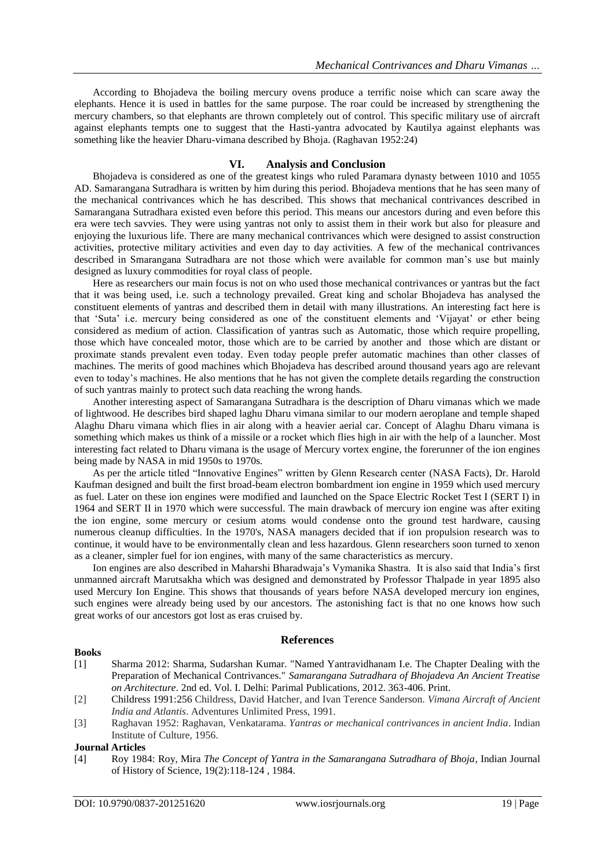According to Bhojadeva the boiling mercury ovens produce a terrific noise which can scare away the elephants. Hence it is used in battles for the same purpose. The roar could be increased by strengthening the mercury chambers, so that elephants are thrown completely out of control. This specific military use of aircraft against elephants tempts one to suggest that the Hasti-yantra advocated by Kautilya against elephants was something like the heavier Dharu-vimana described by Bhoja. (Raghavan 1952:24)

#### **VI. Analysis and Conclusion**

Bhojadeva is considered as one of the greatest kings who ruled Paramara dynasty between 1010 and 1055 AD. Samarangana Sutradhara is written by him during this period. Bhojadeva mentions that he has seen many of the mechanical contrivances which he has described. This shows that mechanical contrivances described in Samarangana Sutradhara existed even before this period. This means our ancestors during and even before this era were tech savvies. They were using yantras not only to assist them in their work but also for pleasure and enjoying the luxurious life. There are many mechanical contrivances which were designed to assist construction activities, protective military activities and even day to day activities. A few of the mechanical contrivances described in Smarangana Sutradhara are not those which were available for common man"s use but mainly designed as luxury commodities for royal class of people.

Here as researchers our main focus is not on who used those mechanical contrivances or yantras but the fact that it was being used, i.e. such a technology prevailed. Great king and scholar Bhojadeva has analysed the constituent elements of yantras and described them in detail with many illustrations. An interesting fact here is that 'Suta' i.e. mercury being considered as one of the constituent elements and 'Vijayat' or ether being considered as medium of action. Classification of yantras such as Automatic, those which require propelling, those which have concealed motor, those which are to be carried by another and those which are distant or proximate stands prevalent even today. Even today people prefer automatic machines than other classes of machines. The merits of good machines which Bhojadeva has described around thousand years ago are relevant even to today"s machines. He also mentions that he has not given the complete details regarding the construction of such yantras mainly to protect such data reaching the wrong hands.

Another interesting aspect of Samarangana Sutradhara is the description of Dharu vimanas which we made of lightwood. He describes bird shaped laghu Dharu vimana similar to our modern aeroplane and temple shaped Alaghu Dharu vimana which flies in air along with a heavier aerial car. Concept of Alaghu Dharu vimana is something which makes us think of a missile or a rocket which flies high in air with the help of a launcher. Most interesting fact related to Dharu vimana is the usage of Mercury vortex engine, the forerunner of the ion engines being made by NASA in mid 1950s to 1970s.

As per the article titled "Innovative Engines" written by Glenn Research center (NASA Facts), Dr. Harold Kaufman designed and built the first broad-beam electron bombardment ion engine in 1959 which used mercury as fuel. Later on these ion engines were modified and launched on the Space Electric Rocket Test I (SERT I) in 1964 and SERT II in 1970 which were successful. The main drawback of mercury ion engine was after exiting the ion engine, some mercury or cesium atoms would condense onto the ground test hardware, causing numerous cleanup difficulties. In the 1970's, NASA managers decided that if ion propulsion research was to continue, it would have to be environmentally clean and less hazardous. Glenn researchers soon turned to xenon as a cleaner, simpler fuel for ion engines, with many of the same characteristics as mercury.

Ion engines are also described in Maharshi Bharadwaja"s Vymanika Shastra. It is also said that India"s first unmanned aircraft Marutsakha which was designed and demonstrated by Professor Thalpade in year 1895 also used Mercury Ion Engine. This shows that thousands of years before NASA developed mercury ion engines, such engines were already being used by our ancestors. The astonishing fact is that no one knows how such great works of our ancestors got lost as eras cruised by.

#### **References**

#### **Books**

- [1] Sharma 2012: Sharma, Sudarshan Kumar. "Named Yantravidhanam I.e. The Chapter Dealing with the Preparation of Mechanical Contrivances." *Samarangana Sutradhara of Bhojadeva An Ancient Treatise on Architecture*. 2nd ed. Vol. I. Delhi: Parimal Publications, 2012. 363-406. Print.
- [2] Childress 1991:256 Childress, David Hatcher, and Ivan Terence Sanderson. *Vimana Aircraft of Ancient India and Atlantis*. Adventures Unlimited Press, 1991.
- [3] Raghavan 1952: Raghavan, Venkatarama. *Yantras or mechanical contrivances in ancient India*. Indian Institute of Culture, 1956.

#### **Journal Articles**

[4] Roy 1984: Roy, Mira *The Concept of Yantra in the Samarangana Sutradhara of Bhoja*, Indian Journal of History of Science, 19(2):118-124 , 1984.